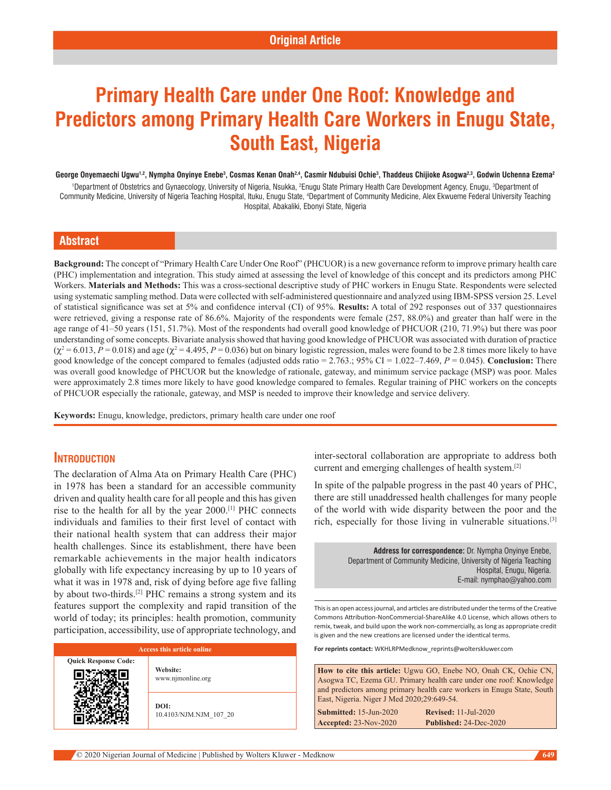# **Primary Health Care under One Roof: Knowledge and Predictors among Primary Health Care Workers in Enugu State, South East, Nigeria**

#### George Onyemaechi Ugwu<sup>1,2</sup>, Nympha Onyinye Enebe<sup>3</sup>, Cosmas Kenan Onah<sup>2,4</sup>, Casmir Ndubuisi Ochie<sup>3</sup>, Thaddeus Chijioke Asogwa<sup>2,3</sup>, Godwin Uchenna Ezema<sup>2</sup>

<sup>1</sup>Department of Obstetrics and Gynaecology, University of Nigeria, Nsukka, <sup>2</sup>Enugu State Primary Health Care Development Agency, Enugu, <sup>3</sup>Department of Community Medicine, University of Nigeria Teaching Hospital, Ituku, Enugu State, <sup>4</sup>Department of Community Medicine, Alex Ekwueme Federal University Teaching Hospital, Abakaliki, Ebonyi State, Nigeria

## **Abstract**

**Background:** The concept of "Primary Health Care Under One Roof" (PHCUOR) is a new governance reform to improve primary health care (PHC) implementation and integration. This study aimed at assessing the level of knowledge of this concept and its predictors among PHC Workers. **Materials and Methods:** This was a cross-sectional descriptive study of PHC workers in Enugu State. Respondents were selected using systematic sampling method. Data were collected with self-administered questionnaire and analyzed using IBM-SPSS version 25. Level of statistical significance was set at 5% and confidence interval (CI) of 95%. **Results:** A total of 292 responses out of 337 questionnaires were retrieved, giving a response rate of 86.6%. Majority of the respondents were female (257, 88.0%) and greater than half were in the age range of 41–50 years (151, 51.7%). Most of the respondents had overall good knowledge of PHCUOR (210, 71.9%) but there was poor understanding of some concepts. Bivariate analysis showed that having good knowledge of PHCUOR was associated with duration of practice  $(\chi^2 = 6.013, P = 0.018)$  and age  $(\chi^2 = 4.495, P = 0.036)$  but on binary logistic regression, males were found to be 2.8 times more likely to have good knowledge of the concept compared to females (adjusted odds ratio = 2.763.; 95% CI = 1.022–7.469, *P* = 0.045). **Conclusion:** There was overall good knowledge of PHCUOR but the knowledge of rationale, gateway, and minimum service package (MSP) was poor. Males were approximately 2.8 times more likely to have good knowledge compared to females. Regular training of PHC workers on the concepts of PHCUOR especially the rationale, gateway, and MSP is needed to improve their knowledge and service delivery.

**Keywords:** Enugu, knowledge, predictors, primary health care under one roof

#### **Introduction**

The declaration of Alma Ata on Primary Health Care (PHC) in 1978 has been a standard for an accessible community driven and quality health care for all people and this has given rise to the health for all by the year 2000.[1] PHC connects individuals and families to their first level of contact with their national health system that can address their major health challenges. Since its establishment, there have been remarkable achievements in the major health indicators globally with life expectancy increasing by up to 10 years of what it was in 1978 and, risk of dying before age five falling by about two-thirds.[2] PHC remains a strong system and its features support the complexity and rapid transition of the world of today; its principles: health promotion, community participation, accessibility, use of appropriate technology, and

| Access this article online  |                                |  |
|-----------------------------|--------------------------------|--|
| <b>Quick Response Code:</b> | Website:<br>www.njmonline.org  |  |
|                             | DOI:<br>10.4103/NJM.NJM 107 20 |  |

inter-sectoral collaboration are appropriate to address both current and emerging challenges of health system.[2]

In spite of the palpable progress in the past 40 years of PHC, there are still unaddressed health challenges for many people of the world with wide disparity between the poor and the rich, especially for those living in vulnerable situations.[3]

> **Address for correspondence:** Dr. Nympha Onyinye Enebe, Department of Community Medicine, University of Nigeria Teaching Hospital, Enugu, Nigeria. E-mail: nymphao@yahoo.com

This is an open access journal, and articles are distributed under the terms of the Creative Commons Attribution‑NonCommercial‑ShareAlike 4.0 License, which allows others to remix, tweak, and build upon the work non‑commercially, as long as appropriate credit is given and the new creations are licensed under the identical terms.

**For reprints contact:** WKHLRPMedknow\_reprints@wolterskluwer.com

| <b>How to cite this article:</b> Ugwu GO, Enebe NO, Onah CK, Ochie CN,         |
|--------------------------------------------------------------------------------|
| Asogwa TC, Ezema GU. Primary health care under one roof: Knowledge             |
| and predictors among primary health care workers in Enugu State, South         |
| East, Nigeria. Niger J Med 2020; 29:649-54.                                    |
| Dovised, 11 Iul $2020$<br>$\mathbb{C}_{11}$ hmitted, 15 $\mathbb{I}_{11}$ 2020 |

**Submitted:** 15-Jun-2020 **Revised:** 11-Jul-2020 **Accepted:** 23-Nov-2020 **Published:** 24-Dec-2020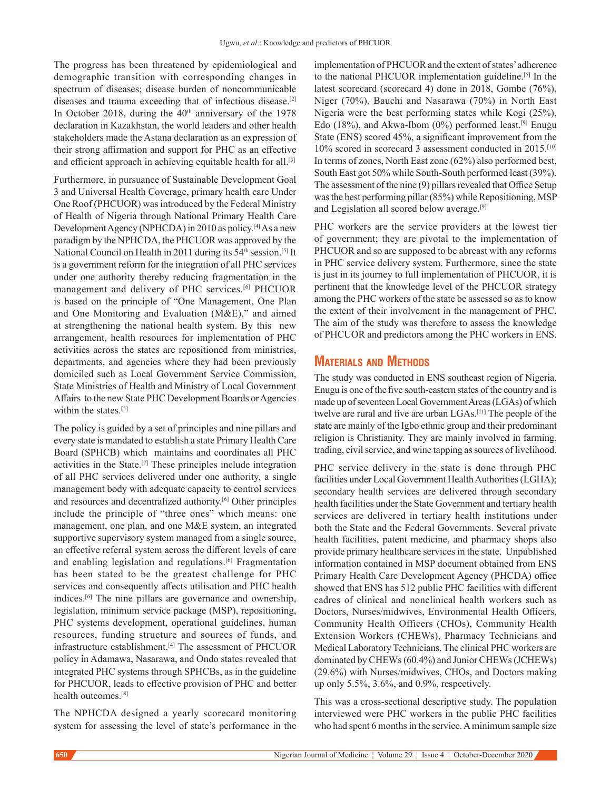The progress has been threatened by epidemiological and demographic transition with corresponding changes in spectrum of diseases; disease burden of noncommunicable diseases and trauma exceeding that of infectious disease.[2] In October 2018, during the  $40<sup>th</sup>$  anniversary of the 1978 declaration in Kazakhstan, the world leaders and other health stakeholders made the Astana declaration as an expression of their strong affirmation and support for PHC as an effective and efficient approach in achieving equitable health for all.<sup>[3]</sup>

Furthermore, in pursuance of Sustainable Development Goal 3 and Universal Health Coverage, primary health care Under One Roof (PHCUOR) was introduced by the Federal Ministry of Health of Nigeria through National Primary Health Care Development Agency (NPHCDA) in 2010 as policy.[4] As a new paradigm by the NPHCDA, the PHCUOR was approved by the National Council on Health in 2011 during its 54<sup>th</sup> session.<sup>[5]</sup> It is a government reform for the integration of all PHC services under one authority thereby reducing fragmentation in the management and delivery of PHC services.[6] PHCUOR is based on the principle of "One Management, One Plan and One Monitoring and Evaluation (M&E)," and aimed at strengthening the national health system. By this new arrangement, health resources for implementation of PHC activities across the states are repositioned from ministries, departments, and agencies where they had been previously domiciled such as Local Government Service Commission, State Ministries of Health and Ministry of Local Government Affairs to the new State PHC Development Boards or Agencies within the states.<sup>[5]</sup>

The policy is guided by a set of principles and nine pillars and every state is mandated to establish a state Primary Health Care Board (SPHCB) which maintains and coordinates all PHC activities in the State.[7] These principles include integration of all PHC services delivered under one authority, a single management body with adequate capacity to control services and resources and decentralized authority.[6] Other principles include the principle of "three ones" which means: one management, one plan, and one M&E system, an integrated supportive supervisory system managed from a single source, an effective referral system across the different levels of care and enabling legislation and regulations.[6] Fragmentation has been stated to be the greatest challenge for PHC services and consequently affects utilisation and PHC health indices.[6] The nine pillars are governance and ownership, legislation, minimum service package (MSP), repositioning, PHC systems development, operational guidelines, human resources, funding structure and sources of funds, and infrastructure establishment.<sup>[4]</sup> The assessment of PHCUOR policy in Adamawa, Nasarawa, and Ondo states revealed that integrated PHC systems through SPHCBs, as in the guideline for PHCUOR, leads to effective provision of PHC and better health outcomes.[8]

The NPHCDA designed a yearly scorecard monitoring system for assessing the level of state's performance in the implementation of PHCUOR and the extent of states' adherence to the national PHCUOR implementation guideline.<sup>[5]</sup> In the latest scorecard (scorecard 4) done in 2018, Gombe (76%), Niger (70%), Bauchi and Nasarawa (70%) in North East Nigeria were the best performing states while Kogi (25%), Edo (18%), and Akwa-Ibom (0%) performed least.<sup>[9]</sup> Enugu State (ENS) scored 45%, a significant improvement from the 10% scored in scorecard 3 assessment conducted in 2015.[10] In terms of zones, North East zone (62%) also performed best, South East got 50% while South-South performed least (39%). The assessment of the nine (9) pillars revealed that Office Setup was the best performing pillar (85%) while Repositioning, MSP and Legislation all scored below average.[9]

PHC workers are the service providers at the lowest tier of government; they are pivotal to the implementation of PHCUOR and so are supposed to be abreast with any reforms in PHC service delivery system. Furthermore, since the state is just in its journey to full implementation of PHCUOR, it is pertinent that the knowledge level of the PHCUOR strategy among the PHC workers of the state be assessed so as to know the extent of their involvement in the management of PHC. The aim of the study was therefore to assess the knowledge of PHCUOR and predictors among the PHC workers in ENS.

# **Materials and Methods**

The study was conducted in ENS southeast region of Nigeria. Enugu is one of the five south-eastern states of the country and is made up of seventeen Local Government Areas (LGAs) of which twelve are rural and five are urban LGAs.[11] The people of the state are mainly of the Igbo ethnic group and their predominant religion is Christianity. They are mainly involved in farming, trading, civil service, and wine tapping as sources of livelihood.

PHC service delivery in the state is done through PHC facilities under Local Government Health Authorities (LGHA); secondary health services are delivered through secondary health facilities under the State Government and tertiary health services are delivered in tertiary health institutions under both the State and the Federal Governments. Several private health facilities, patent medicine, and pharmacy shops also provide primary healthcare services in the state. Unpublished information contained in MSP document obtained from ENS Primary Health Care Development Agency (PHCDA) office showed that ENS has 512 public PHC facilities with different cadres of clinical and nonclinical health workers such as Doctors, Nurses/midwives, Environmental Health Officers, Community Health Officers (CHOs), Community Health Extension Workers (CHEWs), Pharmacy Technicians and Medical Laboratory Technicians. The clinical PHC workers are dominated by CHEWs (60.4%) and Junior CHEWs (JCHEWs) (29.6%) with Nurses/midwives, CHOs, and Doctors making up only 5.5%, 3.6%, and 0.9%, respectively.

This was a cross-sectional descriptive study. The population interviewed were PHC workers in the public PHC facilities who had spent 6 months in the service. A minimum sample size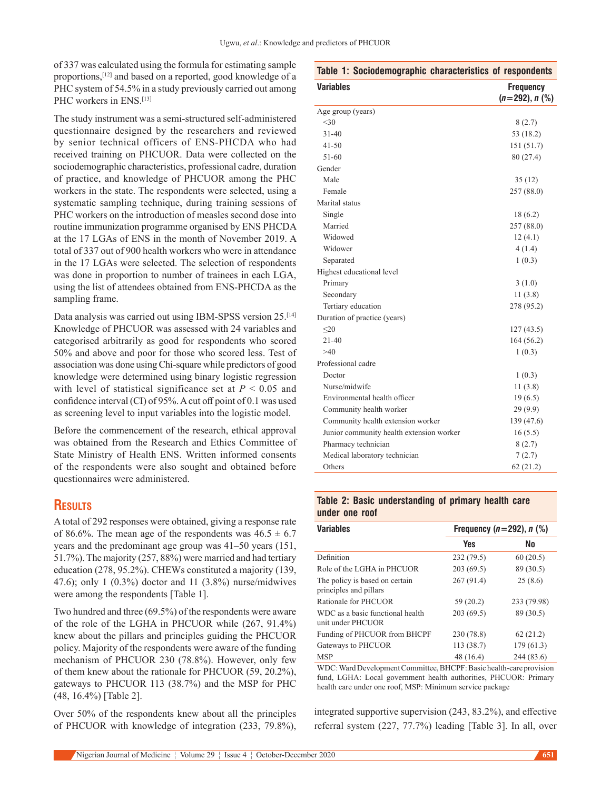of 337 was calculated using the formula for estimating sample proportions,[12] and based on a reported, good knowledge of a PHC system of 54.5% in a study previously carried out among PHC workers in ENS.<sup>[13]</sup>

The study instrument was a semi-structured self-administered questionnaire designed by the researchers and reviewed by senior technical officers of ENS-PHCDA who had received training on PHCUOR. Data were collected on the sociodemographic characteristics, professional cadre, duration of practice, and knowledge of PHCUOR among the PHC workers in the state. The respondents were selected, using a systematic sampling technique, during training sessions of PHC workers on the introduction of measles second dose into routine immunization programme organised by ENS PHCDA at the 17 LGAs of ENS in the month of November 2019. A total of 337 out of 900 health workers who were in attendance in the 17 LGAs were selected. The selection of respondents was done in proportion to number of trainees in each LGA, using the list of attendees obtained from ENS-PHCDA as the sampling frame.

Data analysis was carried out using IBM-SPSS version 25.<sup>[14]</sup> Knowledge of PHCUOR was assessed with 24 variables and categorised arbitrarily as good for respondents who scored 50% and above and poor for those who scored less. Test of association was done using Chi-square while predictors of good knowledge were determined using binary logistic regression with level of statistical significance set at  $P < 0.05$  and confidence interval (CI) of 95%. A cut off point of 0.1 was used as screening level to input variables into the logistic model.

Before the commencement of the research, ethical approval was obtained from the Research and Ethics Committee of State Ministry of Health ENS. Written informed consents of the respondents were also sought and obtained before questionnaires were administered.

# **Results**

A total of 292 responses were obtained, giving a response rate of 86.6%. The mean age of the respondents was  $46.5 \pm 6.7$ years and the predominant age group was 41–50 years (151, 51.7%). The majority (257, 88%) were married and had tertiary education (278, 95.2%). CHEWs constituted a majority (139, 47.6); only 1 (0.3%) doctor and 11 (3.8%) nurse/midwives were among the respondents [Table 1].

Two hundred and three (69.5%) of the respondents were aware of the role of the LGHA in PHCUOR while (267, 91.4%) knew about the pillars and principles guiding the PHCUOR policy. Majority of the respondents were aware of the funding mechanism of PHCUOR 230 (78.8%). However, only few of them knew about the rationale for PHCUOR (59, 20.2%), gateways to PHCUOR 113 (38.7%) and the MSP for PHC (48, 16.4%) [Table 2].

Over 50% of the respondents knew about all the principles of PHCUOR with knowledge of integration (233, 79.8%),

| Table 1: Sociodemographic characteristics of respondents |                                      |
|----------------------------------------------------------|--------------------------------------|
| <b>Variables</b>                                         | <b>Frequency</b><br>$(n=292), n$ (%) |
| Age group (years)                                        |                                      |
| <30                                                      | 8(2.7)                               |
| $31 - 40$                                                | 53 (18.2)                            |
| $41 - 50$                                                | 151 (51.7)                           |
| 51-60                                                    | 80 (27.4)                            |
| Gender                                                   |                                      |
| Male                                                     | 35(12)                               |
| Female                                                   | 257 (88.0)                           |
| Marital status                                           |                                      |
| Single                                                   | 18 (6.2)                             |
| Married                                                  | 257 (88.0)                           |
| Widowed                                                  | 12(4.1)                              |
| Widower                                                  | 4(1.4)                               |
| Separated                                                | 1(0.3)                               |
| Highest educational level                                |                                      |
| Primary                                                  | 3(1.0)                               |
| Secondary                                                | 11(3.8)                              |
| Tertiary education                                       | 278 (95.2)                           |
| Duration of practice (years)                             |                                      |
| $\leq$ 20                                                | 127(43.5)                            |
| $21 - 40$                                                | 164 (56.2)                           |
| >40                                                      | 1(0.3)                               |
| Professional cadre                                       |                                      |
| Doctor                                                   | 1(0.3)                               |
| Nurse/midwife                                            | 11(3.8)                              |
| Environmental health officer                             | 19(6.5)                              |
| Community health worker                                  | 29(9.9)                              |
| Community health extension worker                        | 139 (47.6)                           |
| Junior community health extension worker                 | 16(5.5)                              |
| Pharmacy technician                                      | 8(2.7)                               |
| Medical laboratory technician                            | 7(2.7)                               |
| Others                                                   | 62(21.2)                             |

#### **Table 2: Basic understanding of primary health care under one roof**

| <b>Variables</b>                                         | Frequency $(n=292)$ , n $(\%)$ |             |  |  |
|----------------------------------------------------------|--------------------------------|-------------|--|--|
|                                                          | <b>Yes</b>                     | No          |  |  |
| Definition                                               | 232 (79.5)                     | 60(20.5)    |  |  |
| Role of the LGHA in PHCUOR                               | 203(69.5)                      | 89 (30.5)   |  |  |
| The policy is based on certain<br>principles and pillars | 267(91.4)                      | 25(8.6)     |  |  |
| Rationale for PHCUOR                                     | 59(20.2)                       | 233 (79.98) |  |  |
| WDC as a basic functional health<br>unit under PHCUOR    | 203(69.5)                      | 89 (30.5)   |  |  |
| Funding of PHCUOR from BHCPF                             | 230 (78.8)                     | 62(21.2)    |  |  |
| Gateways to PHCUOR                                       | 113 (38.7)                     | 179 (61.3)  |  |  |
| <b>MSP</b>                                               | 48 (16.4)                      | 244 (83.6)  |  |  |

WDC: Ward Development Committee, BHCPF: Basic health-care provision fund, LGHA: Local government health authorities, PHCUOR: Primary health care under one roof, MSP: Minimum service package

integrated supportive supervision (243, 83.2%), and effective referral system (227, 77.7%) leading [Table 3]. In all, over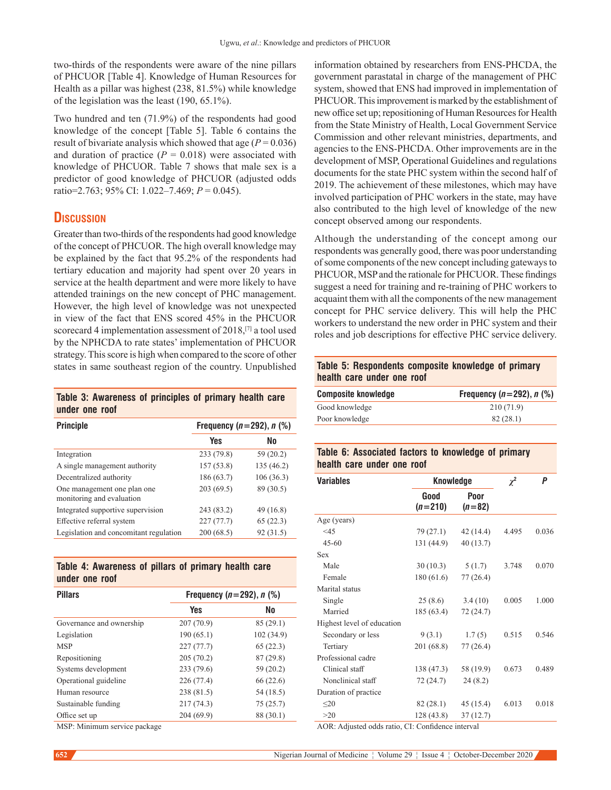two-thirds of the respondents were aware of the nine pillars of PHCUOR [Table 4]. Knowledge of Human Resources for Health as a pillar was highest (238, 81.5%) while knowledge of the legislation was the least (190, 65.1%).

Two hundred and ten (71.9%) of the respondents had good knowledge of the concept [Table 5]. Table 6 contains the result of bivariate analysis which showed that age  $(P = 0.036)$ and duration of practice  $(P = 0.018)$  were associated with knowledge of PHCUOR. Table 7 shows that male sex is a predictor of good knowledge of PHCUOR (adjusted odds ratio=2.763; 95% CI: 1.022–7.469; *P* = 0.045).

# **Discussion**

Greater than two-thirds of the respondents had good knowledge of the concept of PHCUOR. The high overall knowledge may be explained by the fact that 95.2% of the respondents had tertiary education and majority had spent over 20 years in service at the health department and were more likely to have attended trainings on the new concept of PHC management. However, the high level of knowledge was not unexpected in view of the fact that ENS scored 45% in the PHCUOR scorecard 4 implementation assessment of 2018,[7] a tool used by the NPHCDA to rate states' implementation of PHCUOR strategy. This score is high when compared to the score of other states in same southeast region of the country. Unpublished

**Table 3: Awareness of principles of primary health care under one roof**

| <b>Principle</b>                                         | Frequency ( $n = 292$ ), $n$ (%) |            |  |  |
|----------------------------------------------------------|----------------------------------|------------|--|--|
|                                                          | Yes                              | No         |  |  |
| Integration                                              | 233 (79.8)                       | 59 (20.2)  |  |  |
| A single management authority                            | 157(53.8)                        | 135 (46.2) |  |  |
| Decentralized authority                                  | 186 (63.7)                       | 106(36.3)  |  |  |
| One management one plan one<br>monitoring and evaluation | 203(69.5)                        | 89 (30.5)  |  |  |
| Integrated supportive supervision                        | 243 (83.2)                       | 49 (16.8)  |  |  |
| Effective referral system                                | 227(77.7)                        | 65(22.3)   |  |  |
| Legislation and concomitant regulation                   | 200(68.5)                        | 92 (31.5)  |  |  |

|  | Table 4: Awareness of pillars of primary health care |  |  |  |
|--|------------------------------------------------------|--|--|--|
|  | under one roof                                       |  |  |  |

| <b>Pillars</b>           | Frequency $(n=292)$ , n $(\%)$ |            |  |  |
|--------------------------|--------------------------------|------------|--|--|
|                          | <b>Yes</b>                     | No         |  |  |
| Governance and ownership | 207 (70.9)                     | 85(29.1)   |  |  |
| Legislation              | 190(65.1)                      | 102 (34.9) |  |  |
| <b>MSP</b>               | 227(77.7)                      | 65(22.3)   |  |  |
| Repositioning            | 205(70.2)                      | 87(29.8)   |  |  |
| Systems development      | 233 (79.6)                     | 59 (20.2)  |  |  |
| Operational guideline    | 226 (77.4)                     | 66 (22.6)  |  |  |
| Human resource           | 238 (81.5)                     | 54 (18.5)  |  |  |
| Sustainable funding      | 217 (74.3)                     | 75(25.7)   |  |  |
| Office set up            | 204 (69.9)                     | 88 (30.1)  |  |  |

MSP: Minimum service package

information obtained by researchers from ENS-PHCDA, the government parastatal in charge of the management of PHC system, showed that ENS had improved in implementation of PHCUOR. This improvement is marked by the establishment of new office set up; repositioning of Human Resources for Health from the State Ministry of Health, Local Government Service Commission and other relevant ministries, departments, and agencies to the ENS-PHCDA. Other improvements are in the development of MSP, Operational Guidelines and regulations documents for the state PHC system within the second half of 2019. The achievement of these milestones, which may have involved participation of PHC workers in the state, may have also contributed to the high level of knowledge of the new concept observed among our respondents.

Although the understanding of the concept among our respondents was generally good, there was poor understanding of some components of the new concept including gateways to PHCUOR, MSP and the rationale for PHCUOR. These findings suggest a need for training and re-training of PHC workers to acquaint them with all the components of the new management concept for PHC service delivery. This will help the PHC workers to understand the new order in PHC system and their roles and job descriptions for effective PHC service delivery.

### **Table 5: Respondents composite knowledge of primary health care under one roof**

| <b>Composite knowledge</b> | Frequency $(n=292)$ , n $(\%)$ |  |  |
|----------------------------|--------------------------------|--|--|
| Good knowledge             | 210 (71.9)                     |  |  |
| Poor knowledge             | 82(28.1)                       |  |  |

## **Table 6: Associated factors to knowledge of primary health care under one roof**

| <b>Variables</b>           | <b>Knowledge</b>  | $\chi^2$         | P     |       |
|----------------------------|-------------------|------------------|-------|-------|
|                            | Good<br>$(n=210)$ | Poor<br>$(n=82)$ |       |       |
| Age (years)                |                   |                  |       |       |
| <45                        | 79 (27.1)         | 42(14.4)         | 4.495 | 0.036 |
| $45 - 60$                  | 131 (44.9)        | 40(13.7)         |       |       |
| Sex                        |                   |                  |       |       |
| Male                       | 30(10.3)          | 5(1.7)           | 3.748 | 0.070 |
| Female                     | 180 (61.6)        | 77(26.4)         |       |       |
| Marital status             |                   |                  |       |       |
| Single                     | 25(8.6)           | 3.4(10)          | 0.005 | 1.000 |
| Married                    | 185(63.4)         | 72 (24.7)        |       |       |
| Highest level of education |                   |                  |       |       |
| Secondary or less          | 9(3.1)            | 1.7(5)           | 0.515 | 0.546 |
| Tertiary                   | 201 (68.8)        | 77 (26.4)        |       |       |
| Professional cadre         |                   |                  |       |       |
| Clinical staff             | 138 (47.3)        | 58 (19.9)        | 0.673 | 0.489 |
| Nonclinical staff          | 72 (24.7)         | 24(8.2)          |       |       |
| Duration of practice       |                   |                  |       |       |
| $\leq 20$                  | 82(28.1)          | 45 (15.4)        | 6.013 | 0.018 |
| >20                        | 128 (43.8)        | 37(12.7)         |       |       |

AOR: Adjusted odds ratio, CI: Confidence interval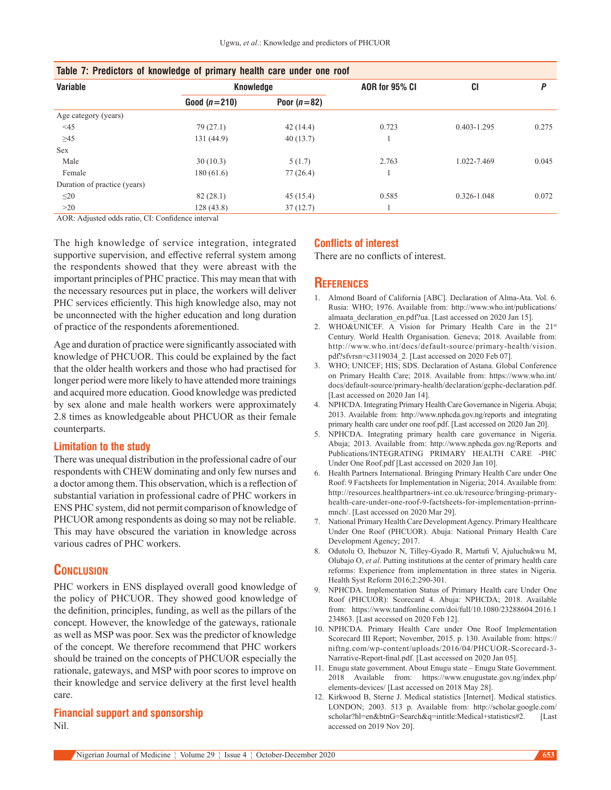| <b>Variable</b>              | Knowledge      |               | AOR for 95% CI | <b>CI</b>       | D     |
|------------------------------|----------------|---------------|----------------|-----------------|-------|
|                              | Good $(n=210)$ | Poor $(n=82)$ |                |                 |       |
| Age category (years)         |                |               |                |                 |       |
| $<$ 45                       | 79(27.1)       | 42(14.4)      | 0.723          | $0.403 - 1.295$ | 0.275 |
| $\geq 45$                    | 131 (44.9)     | 40(13.7)      |                |                 |       |
| <b>Sex</b>                   |                |               |                |                 |       |
| Male                         | 30(10.3)       | 5(1.7)        | 2.763          | 1.022-7.469     | 0.045 |
| Female                       | 180 (61.6)     | 77(26.4)      |                |                 |       |
| Duration of practice (years) |                |               |                |                 |       |
| $\leq$ 20                    | 82(28.1)       | 45(15.4)      | 0.585          | 0.326-1.048     | 0.072 |
| >20                          | 128(43.8)      | 37(12.7)      |                |                 |       |

| Table 7: Predictors of knowledge of primary health care under one roof |  |
|------------------------------------------------------------------------|--|
|------------------------------------------------------------------------|--|

AOR: Adjusted odds ratio, CI: Confidence interval

The high knowledge of service integration, integrated supportive supervision, and effective referral system among the respondents showed that they were abreast with the important principles of PHC practice. This may mean that with the necessary resources put in place, the workers will deliver PHC services efficiently. This high knowledge also, may not be unconnected with the higher education and long duration of practice of the respondents aforementioned.

Age and duration of practice were significantly associated with knowledge of PHCUOR. This could be explained by the fact that the older health workers and those who had practised for longer period were more likely to have attended more trainings and acquired more education. Good knowledge was predicted by sex alone and male health workers were approximately 2.8 times as knowledgeable about PHCUOR as their female counterparts.

#### **Limitation to the study**

There was unequal distribution in the professional cadre of our respondents with CHEW dominating and only few nurses and a doctor among them. This observation, which is a reflection of substantial variation in professional cadre of PHC workers in ENS PHC system, did not permit comparison of knowledge of PHCUOR among respondents as doing so may not be reliable. This may have obscured the variation in knowledge across various cadres of PHC workers.

## **Conclusion**

PHC workers in ENS displayed overall good knowledge of the policy of PHCUOR. They showed good knowledge of the definition, principles, funding, as well as the pillars of the concept. However, the knowledge of the gateways, rationale as well as MSP was poor. Sex was the predictor of knowledge of the concept. We therefore recommend that PHC workers should be trained on the concepts of PHCUOR especially the rationale, gateways, and MSP with poor scores to improve on their knowledge and service delivery at the first level health care.

#### **Financial support and sponsorship** Nil.

## **Conflicts of interest**

There are no conflicts of interest.

#### **References**

- 1. Almond Board of California [ABC]. Declaration of Alma-Ata. Vol. 6. Rusia: WHO; 1976. Available from: http://www.who.int/publications/ almaata\_declaration\_en.pdf?ua. [Last accessed on 2020 Jan 15].
- 2. WHO&UNICEF. A Vision for Primary Health Care in the 21st Century. World Health Organisation. Geneva; 2018. Available from: http://www.who.int/docs/default-source/primary-health/vision. pdf?sfvrsn=c3119034\_2. [Last accessed on 2020 Feb 07].
- 3. WHO; UNICEF; HIS; SDS. Declaration of Astana. Global Conference on Primary Health Care; 2018. Available from: https://www.who.int/ docs/default-source/primary-health/declaration/gcphc-declaration.pdf. [Last accessed on 2020 Jan 14].
- 4. NPHCDA. Integrating Primary Health Care Governance in Nigeria. Abuja; 2013. Available from: http://www.nphcda.gov.ng/reports and integrating primary health care under one roof.pdf. [Last accessed on 2020 Jan 20].
- 5. NPHCDA. Integrating primary health care governance in Nigeria. Abuja; 2013. Available from: http://www.nphcda.gov.ng/Reports and Publications/INTEGRATING PRIMARY HEALTH CARE -PHC Under One Roof.pdf [Last accessed on 2020 Jan 10].
- 6. Health Partners International. Bringing Primary Health Care under One Roof: 9 Factsheets for Implementation in Nigeria; 2014. Available from: http://resources.healthpartners-int.co.uk/resource/bringing-primaryhealth-care-under-one-roof-9-factsheets-for-implementation-prrinnmnch/. [Last accessed on 2020 Mar 29].
- 7. National Primary Health Care Development Agency. Primary Healthcare Under One Roof (PHCUOR). Abuja: National Primary Health Care Development Agency; 2017.
- 8. Odutolu O, Ihebuzor N, Tilley-Gyado R, Martufi V, Ajuluchukwu M, Olubajo O, *et al*. Putting institutions at the center of primary health care reforms: Experience from implementation in three states in Nigeria. Health Syst Reform 2016;2:290-301.
- 9. NPHCDA. Implementation Status of Primary Health care Under One Roof (PHCUOR): Scorecard 4. Abuja: NPHCDA; 2018. Available from: https://www.tandfonline.com/doi/full/10.1080/23288604.2016.1 234863. [Last accessed on 2020 Feb 12].
- 10. NPHCDA. Primary Health Care under One Roof Implementation Scorecard III Report; November, 2015. p. 130. Available from: https:// niftng.com/wp-content/uploads/2016/04/PHCUOR-Scorecard-3- Narrative-Report-final.pdf. [Last accessed on 2020 Jan 05].
- 11. Enugu state government. About Enugu state Enugu State Government. 2018 Available from: https://www.enugustate.gov.ng/index.php/ elements-devices/ [Last accessed on 2018 May 28].
- 12. Kirkwood B, Sterne J. Medical statistics [Internet]. Medical statistics. LONDON; 2003. 513 p. Available from: http://scholar.google.com/ scholar?hl=en&btnG=Search&q=intitle:Medical+statistics#2. [Last accessed on 2019 Nov 20].